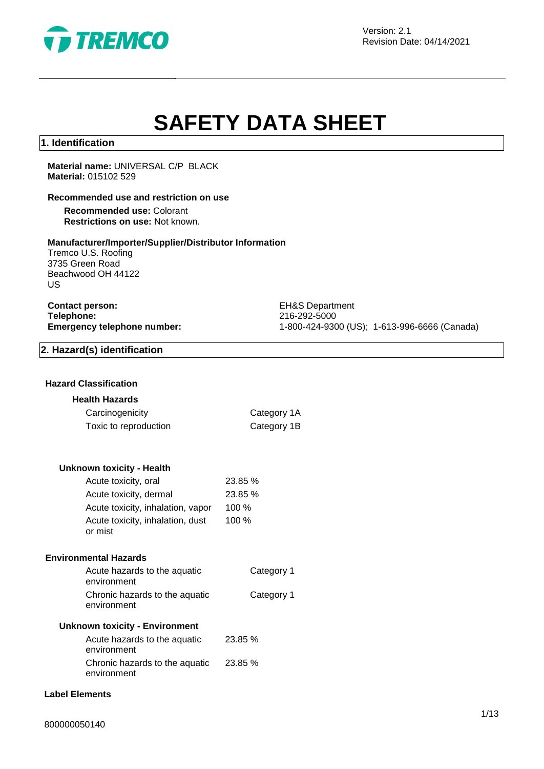

Version: 2.1 Revision Date: 04/14/2021

# **SAFETY DATA SHEET**

#### **1. Identification**

**Material name:** UNIVERSAL C/P BLACK **Material:** 015102 529

#### **Recommended use and restriction on use**

**Recommended use:** Colorant **Restrictions on use:** Not known.

#### **Manufacturer/Importer/Supplier/Distributor Information**

Tremco U.S. Roofing 3735 Green Road Beachwood OH 44122 US

**Contact person:** EH&S Department<br> **Telephone:** 216-292-5000 **Telephone:** 216-292-5000<br> **Emergency telephone number:** 216-292-5000<br>
21-800-424-930

**Emergency telephone number:** 1-800-424-9300 (US); 1-613-996-6666 (Canada)

#### **2. Hazard(s) identification**

#### **Hazard Classification**

#### **Health Hazards**

| Carcinogenicity       | Category 1A |
|-----------------------|-------------|
| Toxic to reproduction | Category 1B |

| <b>Unknown toxicity - Health</b> |  |  |  |
|----------------------------------|--|--|--|
|----------------------------------|--|--|--|

| Acute toxicity, oral                        | 23.85 % |
|---------------------------------------------|---------|
| Acute toxicity, dermal                      | 23.85 % |
| Acute toxicity, inhalation, vapor           | $100\%$ |
| Acute toxicity, inhalation, dust<br>or mist | $100\%$ |

#### **Environmental Hazards**

| Acute hazards to the aquatic<br>environment                     | Category 1 |
|-----------------------------------------------------------------|------------|
| Chronic hazards to the aquatic<br>environment                   | Category 1 |
| sa shekarar 1980 - Maria Maria Marekani ya Marekani wa Tanzania |            |

#### **Unknown toxicity - Environment**

| Acute hazards to the aquatic   | 23.85 % |
|--------------------------------|---------|
| environment                    |         |
| Chronic hazards to the aquatic | 23.85 % |
| environment                    |         |

#### **Label Elements**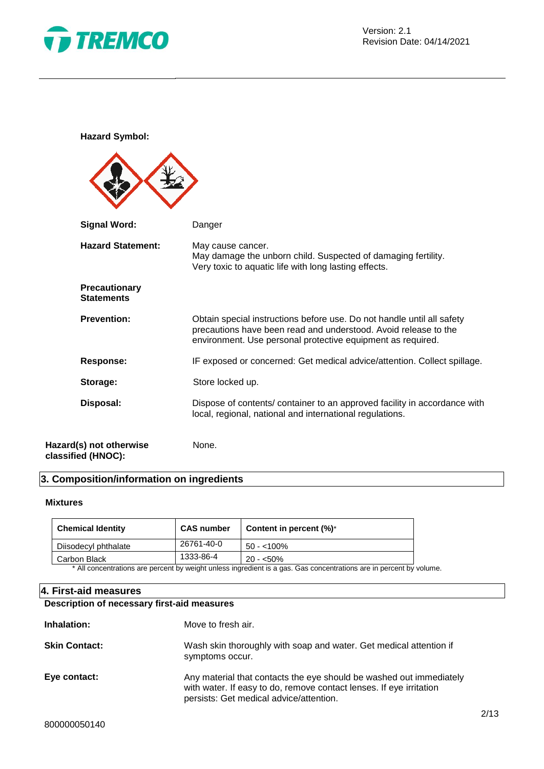

**Hazard Symbol:**

| <b>Signal Word:</b>                           | Danger                                                                                                                                                                                                   |
|-----------------------------------------------|----------------------------------------------------------------------------------------------------------------------------------------------------------------------------------------------------------|
| <b>Hazard Statement:</b>                      | May cause cancer.<br>May damage the unborn child. Suspected of damaging fertility.<br>Very toxic to aquatic life with long lasting effects.                                                              |
| Precautionary<br><b>Statements</b>            |                                                                                                                                                                                                          |
| <b>Prevention:</b>                            | Obtain special instructions before use. Do not handle until all safety<br>precautions have been read and understood. Avoid release to the<br>environment. Use personal protective equipment as required. |
| <b>Response:</b>                              | IF exposed or concerned: Get medical advice/attention. Collect spillage.                                                                                                                                 |
| Storage:                                      | Store locked up.                                                                                                                                                                                         |
| Disposal:                                     | Dispose of contents/ container to an approved facility in accordance with<br>local, regional, national and international regulations.                                                                    |
| Hazard(s) not otherwise<br>classified (HNOC): | None.                                                                                                                                                                                                    |

#### **3. Composition/information on ingredients**

#### **Mixtures**

| <b>Chemical Identity</b> | <b>CAS number</b> | Content in percent $(\%)^*$ |
|--------------------------|-------------------|-----------------------------|
| Diisodecyl phthalate     | 26761-40-0        | $50 - 100\%$                |
| Carbon Black             | 1333-86-4         | $20 - 50\%$                 |

\* All concentrations are percent by weight unless ingredient is a gas. Gas concentrations are in percent by volume.

#### **4. First-aid measures**

#### **Description of necessary first-aid measures**

| Inhalation:          | Move to fresh air.                                                                                                                                                                    |
|----------------------|---------------------------------------------------------------------------------------------------------------------------------------------------------------------------------------|
| <b>Skin Contact:</b> | Wash skin thoroughly with soap and water. Get medical attention if<br>symptoms occur.                                                                                                 |
| Eye contact:         | Any material that contacts the eye should be washed out immediately<br>with water. If easy to do, remove contact lenses. If eye irritation<br>persists: Get medical advice/attention. |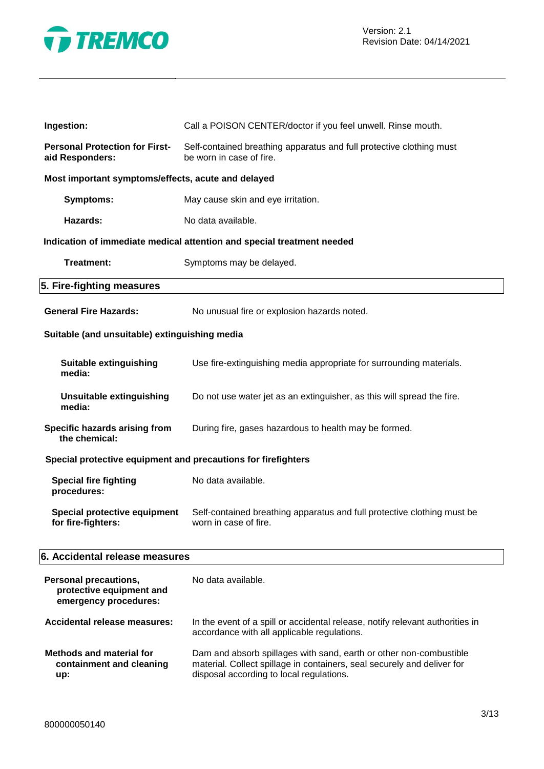

| Ingestion:                                                                 | Call a POISON CENTER/doctor if you feel unwell. Rinse mouth.                                                                                                                              |  |
|----------------------------------------------------------------------------|-------------------------------------------------------------------------------------------------------------------------------------------------------------------------------------------|--|
| <b>Personal Protection for First-</b><br>aid Responders:                   | Self-contained breathing apparatus and full protective clothing must<br>be worn in case of fire.                                                                                          |  |
| Most important symptoms/effects, acute and delayed                         |                                                                                                                                                                                           |  |
| <b>Symptoms:</b>                                                           | May cause skin and eye irritation.                                                                                                                                                        |  |
| Hazards:                                                                   | No data available.                                                                                                                                                                        |  |
|                                                                            | Indication of immediate medical attention and special treatment needed                                                                                                                    |  |
| Treatment:                                                                 | Symptoms may be delayed.                                                                                                                                                                  |  |
| 5. Fire-fighting measures                                                  |                                                                                                                                                                                           |  |
| <b>General Fire Hazards:</b>                                               | No unusual fire or explosion hazards noted.                                                                                                                                               |  |
| Suitable (and unsuitable) extinguishing media                              |                                                                                                                                                                                           |  |
| <b>Suitable extinguishing</b><br>media:                                    | Use fire-extinguishing media appropriate for surrounding materials.                                                                                                                       |  |
| <b>Unsuitable extinguishing</b><br>media:                                  | Do not use water jet as an extinguisher, as this will spread the fire.                                                                                                                    |  |
| Specific hazards arising from<br>the chemical:                             | During fire, gases hazardous to health may be formed.                                                                                                                                     |  |
| Special protective equipment and precautions for firefighters              |                                                                                                                                                                                           |  |
| <b>Special fire fighting</b><br>procedures:                                | No data available.                                                                                                                                                                        |  |
| Special protective equipment<br>for fire-fighters:                         | Self-contained breathing apparatus and full protective clothing must be<br>worn in case of fire.                                                                                          |  |
| 6. Accidental release measures                                             |                                                                                                                                                                                           |  |
| Personal precautions,<br>protective equipment and<br>emergency procedures: | No data available.                                                                                                                                                                        |  |
| <b>Accidental release measures:</b>                                        | In the event of a spill or accidental release, notify relevant authorities in<br>accordance with all applicable regulations.                                                              |  |
| <b>Methods and material for</b><br>containment and cleaning<br>up:         | Dam and absorb spillages with sand, earth or other non-combustible<br>material. Collect spillage in containers, seal securely and deliver for<br>disposal according to local regulations. |  |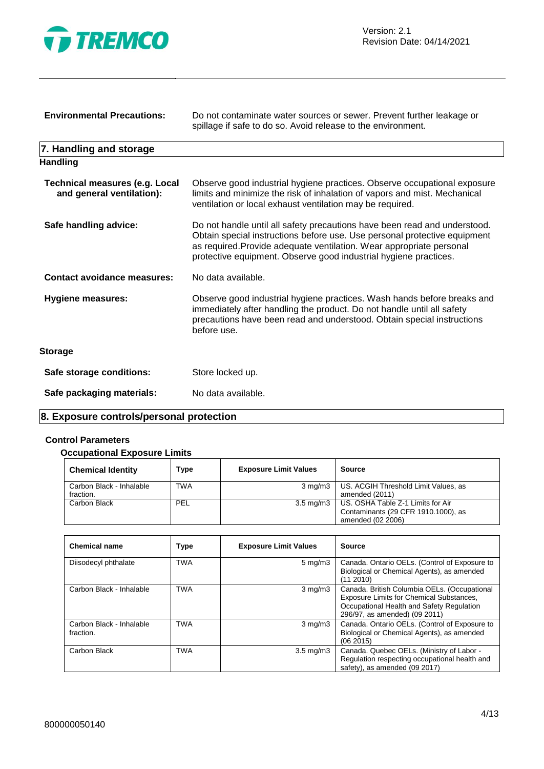

| <b>Environmental Precautions:</b>                                  | Do not contaminate water sources or sewer. Prevent further leakage or<br>spillage if safe to do so. Avoid release to the environment.                                                                                                                                                              |  |
|--------------------------------------------------------------------|----------------------------------------------------------------------------------------------------------------------------------------------------------------------------------------------------------------------------------------------------------------------------------------------------|--|
| 7. Handling and storage                                            |                                                                                                                                                                                                                                                                                                    |  |
| <b>Handling</b>                                                    |                                                                                                                                                                                                                                                                                                    |  |
| <b>Technical measures (e.g. Local</b><br>and general ventilation): | Observe good industrial hygiene practices. Observe occupational exposure<br>limits and minimize the risk of inhalation of vapors and mist. Mechanical<br>ventilation or local exhaust ventilation may be required.                                                                                 |  |
| Safe handling advice:                                              | Do not handle until all safety precautions have been read and understood.<br>Obtain special instructions before use. Use personal protective equipment<br>as required. Provide adequate ventilation. Wear appropriate personal<br>protective equipment. Observe good industrial hygiene practices. |  |
| <b>Contact avoidance measures:</b>                                 | No data available.                                                                                                                                                                                                                                                                                 |  |
| <b>Hygiene measures:</b>                                           | Observe good industrial hygiene practices. Wash hands before breaks and<br>immediately after handling the product. Do not handle until all safety<br>precautions have been read and understood. Obtain special instructions<br>before use.                                                         |  |
| <b>Storage</b>                                                     |                                                                                                                                                                                                                                                                                                    |  |
| Safe storage conditions:                                           | Store locked up.                                                                                                                                                                                                                                                                                   |  |
| Safe packaging materials:                                          | No data available.                                                                                                                                                                                                                                                                                 |  |

#### **8. Exposure controls/personal protection**

## **Control Parameters**

#### **Occupational Exposure Limits**

| <b>Chemical Identity</b>              | <b>Type</b> | <b>Exposure Limit Values</b> | Source                                                                                                    |
|---------------------------------------|-------------|------------------------------|-----------------------------------------------------------------------------------------------------------|
| Carbon Black - Inhalable<br>fraction. | TWA         |                              | 3 mg/m3   US. ACGIH Threshold Limit Values, as<br>amended (2011)                                          |
| Carbon Black                          | PEL         |                              | 3.5 mg/m3   US. OSHA Table Z-1 Limits for Air<br>Contaminants (29 CFR 1910.1000), as<br>amended (02 2006) |

| <b>Chemical name</b>                  | <b>Type</b> | <b>Exposure Limit Values</b> | Source                                                                                                                                                                 |
|---------------------------------------|-------------|------------------------------|------------------------------------------------------------------------------------------------------------------------------------------------------------------------|
| Diisodecyl phthalate                  | <b>TWA</b>  | $5 \text{ mg/m}$             | Canada. Ontario OELs. (Control of Exposure to<br>Biological or Chemical Agents), as amended<br>(11 2010)                                                               |
| Carbon Black - Inhalable              | <b>TWA</b>  | $3 \text{ mg/m}$             | Canada. British Columbia OELs. (Occupational<br>Exposure Limits for Chemical Substances,<br>Occupational Health and Safety Regulation<br>296/97, as amended) (09 2011) |
| Carbon Black - Inhalable<br>fraction. | <b>TWA</b>  | $3 \text{ mg/m}$             | Canada. Ontario OELs. (Control of Exposure to<br>Biological or Chemical Agents), as amended<br>(062015)                                                                |
| Carbon Black                          | <b>TWA</b>  | $3.5 \text{ mg/m}$           | Canada. Quebec OELs. (Ministry of Labor -<br>Regulation respecting occupational health and<br>safety), as amended (09 2017)                                            |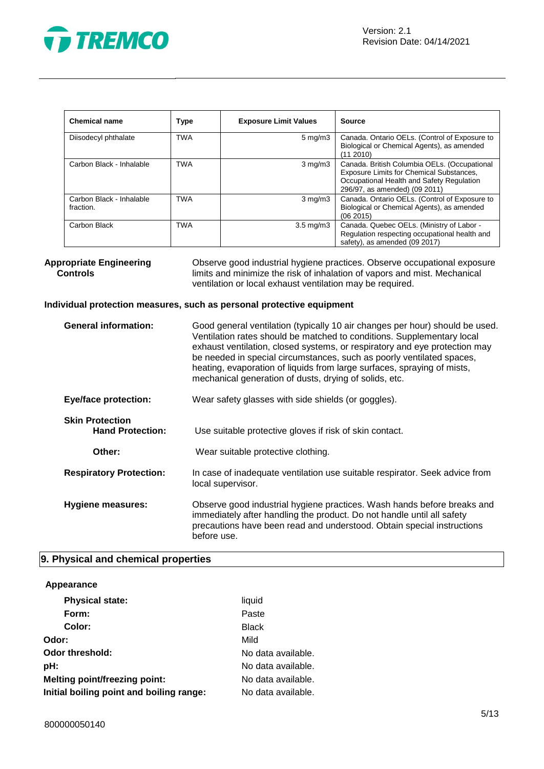

| <b>Chemical name</b>                  | Type       | <b>Exposure Limit Values</b> | <b>Source</b>                                                                                                                                                          |
|---------------------------------------|------------|------------------------------|------------------------------------------------------------------------------------------------------------------------------------------------------------------------|
| Diisodecyl phthalate                  | <b>TWA</b> | $5 \text{ mg/m}$             | Canada. Ontario OELs. (Control of Exposure to<br>Biological or Chemical Agents), as amended<br>(11 2010)                                                               |
| Carbon Black - Inhalable              | <b>TWA</b> | $3 \text{ mg/m}$             | Canada. British Columbia OELs. (Occupational<br>Exposure Limits for Chemical Substances,<br>Occupational Health and Safety Regulation<br>296/97, as amended) (09 2011) |
| Carbon Black - Inhalable<br>fraction. | <b>TWA</b> | $3 \text{ mg/m}$             | Canada. Ontario OELs. (Control of Exposure to<br>Biological or Chemical Agents), as amended<br>(062015)                                                                |
| Carbon Black                          | TWA        | $3.5 \text{ mg/m}$           | Canada. Quebec OELs. (Ministry of Labor -<br>Regulation respecting occupational health and<br>safety), as amended (09 2017)                                            |

**Appropriate Engineering Controls** Observe good industrial hygiene practices. Observe occupational exposure limits and minimize the risk of inhalation of vapors and mist. Mechanical ventilation or local exhaust ventilation may be required.

#### **Individual protection measures, such as personal protective equipment**

| <b>General information:</b>                       | Good general ventilation (typically 10 air changes per hour) should be used.<br>Ventilation rates should be matched to conditions. Supplementary local<br>exhaust ventilation, closed systems, or respiratory and eye protection may<br>be needed in special circumstances, such as poorly ventilated spaces,<br>heating, evaporation of liquids from large surfaces, spraying of mists,<br>mechanical generation of dusts, drying of solids, etc. |
|---------------------------------------------------|----------------------------------------------------------------------------------------------------------------------------------------------------------------------------------------------------------------------------------------------------------------------------------------------------------------------------------------------------------------------------------------------------------------------------------------------------|
| <b>Eye/face protection:</b>                       | Wear safety glasses with side shields (or goggles).                                                                                                                                                                                                                                                                                                                                                                                                |
| <b>Skin Protection</b><br><b>Hand Protection:</b> | Use suitable protective gloves if risk of skin contact.                                                                                                                                                                                                                                                                                                                                                                                            |
| Other:                                            | Wear suitable protective clothing.                                                                                                                                                                                                                                                                                                                                                                                                                 |
| <b>Respiratory Protection:</b>                    | In case of inadequate ventilation use suitable respirator. Seek advice from<br>local supervisor.                                                                                                                                                                                                                                                                                                                                                   |
| Hygiene measures:                                 | Observe good industrial hygiene practices. Wash hands before breaks and<br>immediately after handling the product. Do not handle until all safety<br>precautions have been read and understood. Obtain special instructions<br>before use.                                                                                                                                                                                                         |

#### **9. Physical and chemical properties**

#### **Appearance**

| <b>Physical state:</b>                   | liquid             |
|------------------------------------------|--------------------|
| Form:                                    | Paste              |
| Color:                                   | <b>Black</b>       |
| Odor:                                    | Mild               |
| Odor threshold:                          | No data available. |
| pH:                                      | No data available. |
| Melting point/freezing point:            | No data available. |
| Initial boiling point and boiling range: | No data available. |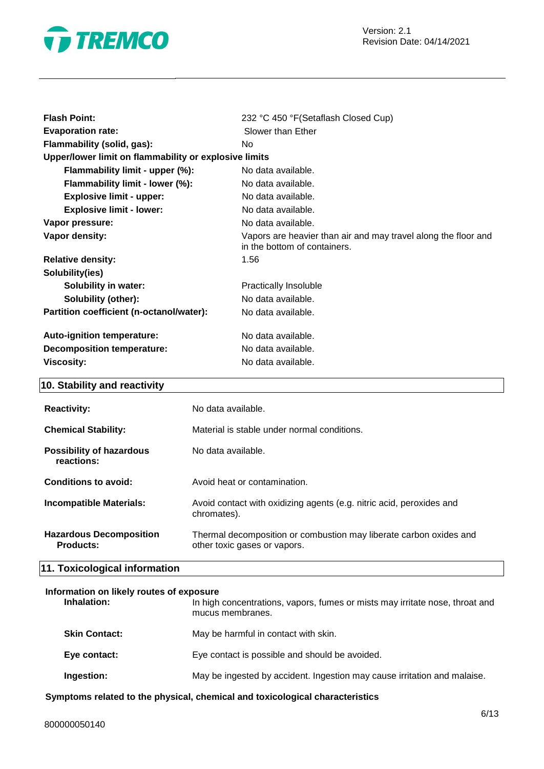

| <b>Flash Point:</b>                                   | 232 °C 450 °F (Setaflash Closed Cup)                                                           |
|-------------------------------------------------------|------------------------------------------------------------------------------------------------|
| <b>Evaporation rate:</b>                              | Slower than Ether                                                                              |
| Flammability (solid, gas):                            | No.                                                                                            |
| Upper/lower limit on flammability or explosive limits |                                                                                                |
| Flammability limit - upper (%):                       | No data available.                                                                             |
| Flammability limit - lower (%):                       | No data available.                                                                             |
| <b>Explosive limit - upper:</b>                       | No data available.                                                                             |
| <b>Explosive limit - lower:</b>                       | No data available.                                                                             |
| Vapor pressure:                                       | No data available.                                                                             |
| Vapor density:                                        | Vapors are heavier than air and may travel along the floor and<br>in the bottom of containers. |
| <b>Relative density:</b>                              | 1.56                                                                                           |
| Solubility(ies)                                       |                                                                                                |
| <b>Solubility in water:</b>                           | <b>Practically Insoluble</b>                                                                   |
| <b>Solubility (other):</b>                            | No data available.                                                                             |
| Partition coefficient (n-octanol/water):              | No data available.                                                                             |
| Auto-ignition temperature:                            | No data available.                                                                             |
| <b>Decomposition temperature:</b>                     | No data available.                                                                             |
| <b>Viscosity:</b>                                     | No data available.                                                                             |
|                                                       |                                                                                                |

# **10. Stability and reactivity**

| <b>Reactivity:</b>                          | No data available.                                                                                 |
|---------------------------------------------|----------------------------------------------------------------------------------------------------|
| <b>Chemical Stability:</b>                  | Material is stable under normal conditions.                                                        |
| Possibility of hazardous<br>reactions:      | No data available.                                                                                 |
| Conditions to avoid:                        | Avoid heat or contamination.                                                                       |
| <b>Incompatible Materials:</b>              | Avoid contact with oxidizing agents (e.g. nitric acid, peroxides and<br>chromates).                |
| <b>Hazardous Decomposition</b><br>Products: | Thermal decomposition or combustion may liberate carbon oxides and<br>other toxic gases or vapors. |

# **11. Toxicological information**

#### **Information on likely routes of exposure**

| Inhalation:          | In high concentrations, vapors, fumes or mists may irritate nose, throat and<br>mucus membranes. |
|----------------------|--------------------------------------------------------------------------------------------------|
| <b>Skin Contact:</b> | May be harmful in contact with skin.                                                             |
| Eye contact:         | Eye contact is possible and should be avoided.                                                   |
| Ingestion:           | May be ingested by accident. Ingestion may cause irritation and malaise.                         |

**Symptoms related to the physical, chemical and toxicological characteristics**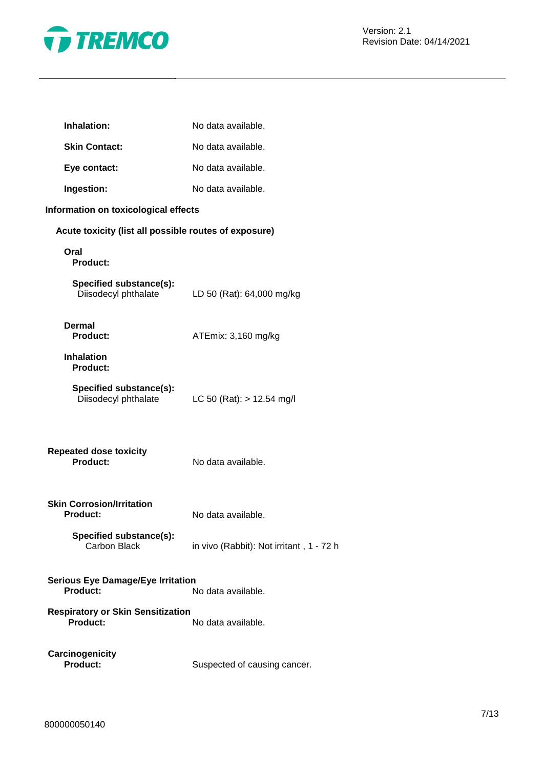

| Inhalation:                                           | No data available.                       |
|-------------------------------------------------------|------------------------------------------|
| <b>Skin Contact:</b>                                  | No data available.                       |
| Eye contact:                                          | No data available.                       |
| Ingestion:                                            | No data available.                       |
| Information on toxicological effects                  |                                          |
| Acute toxicity (list all possible routes of exposure) |                                          |
| Oral<br>Product:                                      |                                          |
| Specified substance(s):<br>Diisodecyl phthalate       | LD 50 (Rat): 64,000 mg/kg                |
| Dermal<br><b>Product:</b>                             | ATEmix: 3,160 mg/kg                      |
| <b>Inhalation</b><br><b>Product:</b>                  |                                          |
| Specified substance(s):<br>Diisodecyl phthalate       | LC 50 (Rat): $> 12.54$ mg/l              |
| <b>Repeated dose toxicity</b><br>Product:             | No data available.                       |
| <b>Skin Corrosion/Irritation</b><br><b>Product:</b>   | No data available.                       |
| Specified substance(s):<br><b>Carbon Black</b>        | in vivo (Rabbit): Not irritant, 1 - 72 h |
| <b>Serious Eye Damage/Eye Irritation</b><br>Product:  | No data available.                       |
| <b>Respiratory or Skin Sensitization</b><br>Product:  | No data available.                       |
| Carcinogenicity<br><b>Product:</b>                    | Suspected of causing cancer.             |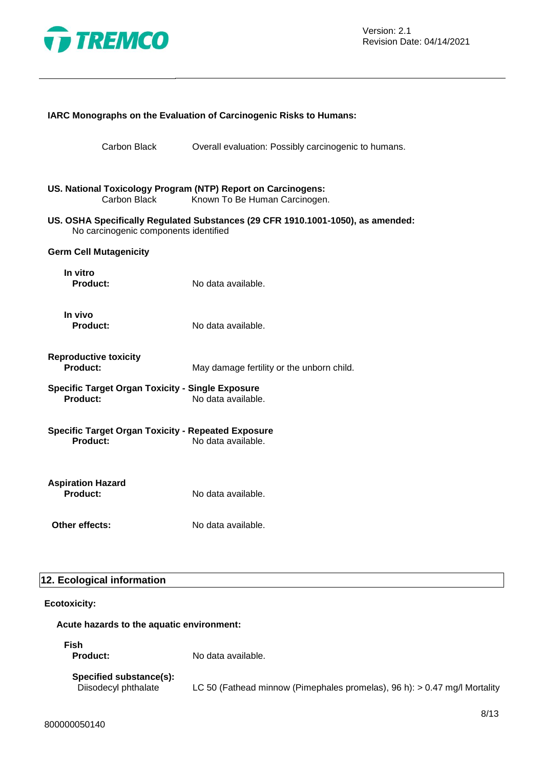

|                                                                       | IARC Monographs on the Evaluation of Carcinogenic Risks to Humans:              |
|-----------------------------------------------------------------------|---------------------------------------------------------------------------------|
| Carbon Black                                                          | Overall evaluation: Possibly carcinogenic to humans.                            |
| US. National Toxicology Program (NTP) Report on Carcinogens:          |                                                                                 |
| Carbon Black                                                          | Known To Be Human Carcinogen.                                                   |
| No carcinogenic components identified                                 | US. OSHA Specifically Regulated Substances (29 CFR 1910.1001-1050), as amended: |
| <b>Germ Cell Mutagenicity</b>                                         |                                                                                 |
| In vitro<br><b>Product:</b>                                           | No data available.                                                              |
| In vivo<br><b>Product:</b>                                            | No data available.                                                              |
| <b>Reproductive toxicity</b><br>Product:                              | May damage fertility or the unborn child.                                       |
| <b>Specific Target Organ Toxicity - Single Exposure</b><br>Product:   | No data available.                                                              |
| <b>Specific Target Organ Toxicity - Repeated Exposure</b><br>Product: | No data available.                                                              |
|                                                                       |                                                                                 |
| <b>Aspiration Hazard</b><br><b>Product:</b>                           | No data available.                                                              |
| Other effects:                                                        | No data available.                                                              |
|                                                                       |                                                                                 |

## **12. Ecological information**

#### **Ecotoxicity:**

#### **Acute hazards to the aquatic environment:**

**Fish**

**Product:** No data available.

# **Specified substance(s):**

Diisodecyl phthalate LC 50 (Fathead minnow (Pimephales promelas), 96 h): > 0.47 mg/l Mortality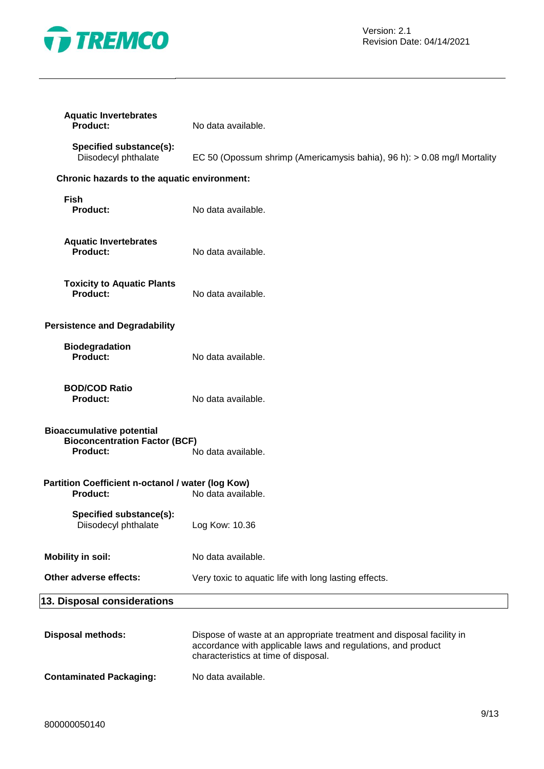

| <b>Aquatic Invertebrates</b><br>Product:                                                    | No data available.                                                                                                                                                            |
|---------------------------------------------------------------------------------------------|-------------------------------------------------------------------------------------------------------------------------------------------------------------------------------|
| Specified substance(s):<br>Diisodecyl phthalate                                             | EC 50 (Opossum shrimp (Americamysis bahia), 96 h): > 0.08 mg/l Mortality                                                                                                      |
| Chronic hazards to the aquatic environment:                                                 |                                                                                                                                                                               |
| <b>Fish</b><br><b>Product:</b>                                                              | No data available.                                                                                                                                                            |
| <b>Aquatic Invertebrates</b><br><b>Product:</b>                                             | No data available.                                                                                                                                                            |
| <b>Toxicity to Aquatic Plants</b><br><b>Product:</b>                                        | No data available.                                                                                                                                                            |
| <b>Persistence and Degradability</b>                                                        |                                                                                                                                                                               |
| <b>Biodegradation</b><br>Product:                                                           | No data available.                                                                                                                                                            |
| <b>BOD/COD Ratio</b><br><b>Product:</b>                                                     | No data available.                                                                                                                                                            |
| <b>Bioaccumulative potential</b><br><b>Bioconcentration Factor (BCF)</b><br><b>Product:</b> | No data available.                                                                                                                                                            |
| Partition Coefficient n-octanol / water (log Kow)<br><b>Product:</b>                        | No data available.                                                                                                                                                            |
| Specified substance(s):<br>Diisodecyl phthalate                                             | Log Kow: 10.36                                                                                                                                                                |
| <b>Mobility in soil:</b>                                                                    | No data available.                                                                                                                                                            |
| Other adverse effects:                                                                      | Very toxic to aquatic life with long lasting effects.                                                                                                                         |
| 13. Disposal considerations                                                                 |                                                                                                                                                                               |
| <b>Disposal methods:</b>                                                                    | Dispose of waste at an appropriate treatment and disposal facility in<br>accordance with applicable laws and regulations, and product<br>characteristics at time of disposal. |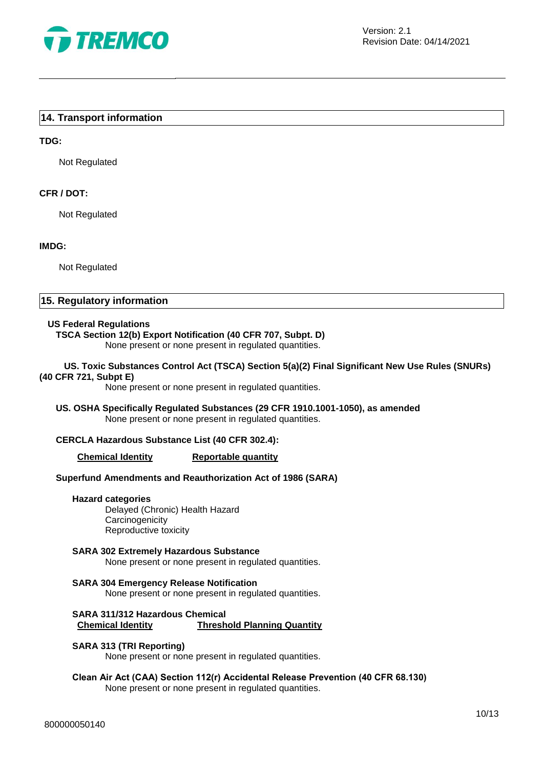

#### **14. Transport information**

#### **TDG:**

Not Regulated

#### **CFR / DOT:**

Not Regulated

#### **IMDG:**

Not Regulated

#### **15. Regulatory information**

#### **US Federal Regulations**

# **TSCA Section 12(b) Export Notification (40 CFR 707, Subpt. D)**

None present or none present in regulated quantities.

#### **US. Toxic Substances Control Act (TSCA) Section 5(a)(2) Final Significant New Use Rules (SNURs) (40 CFR 721, Subpt E)**

None present or none present in regulated quantities.

#### **US. OSHA Specifically Regulated Substances (29 CFR 1910.1001-1050), as amended** None present or none present in regulated quantities.

#### **CERCLA Hazardous Substance List (40 CFR 302.4):**

#### **Chemical Identity Reportable quantity**

#### **Superfund Amendments and Reauthorization Act of 1986 (SARA)**

#### **Hazard categories**

Delayed (Chronic) Health Hazard **Carcinogenicity** Reproductive toxicity

#### **SARA 302 Extremely Hazardous Substance** None present or none present in regulated quantities.

**SARA 304 Emergency Release Notification** None present or none present in regulated quantities.

#### **SARA 311/312 Hazardous Chemical Chemical Identity Threshold Planning Quantity**

#### **SARA 313 (TRI Reporting)**

None present or none present in regulated quantities.

#### **Clean Air Act (CAA) Section 112(r) Accidental Release Prevention (40 CFR 68.130)** None present or none present in regulated quantities.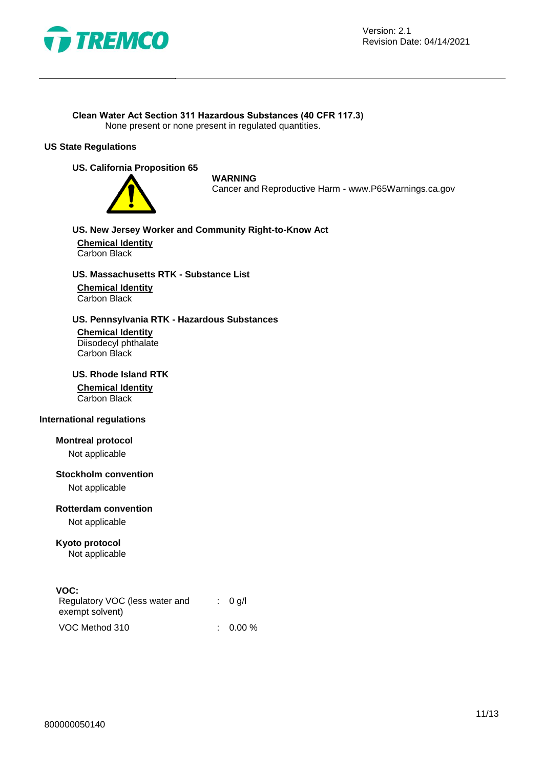

#### **Clean Water Act Section 311 Hazardous Substances (40 CFR 117.3)**

None present or none present in regulated quantities.

#### **US State Regulations**

#### **US. California Proposition 65**



**WARNING**

Cancer and Reproductive Harm - www.P65Warnings.ca.gov

#### **US. New Jersey Worker and Community Right-to-Know Act**

**Chemical Identity** Carbon Black

#### **US. Massachusetts RTK - Substance List**

**Chemical Identity** Carbon Black

#### **US. Pennsylvania RTK - Hazardous Substances**

**Chemical Identity** Diisodecyl phthalate Carbon Black

# **US. Rhode Island RTK Chemical Identity**

Carbon Black

#### **International regulations**

**Montreal protocol**

Not applicable

#### **Stockholm convention**

Not applicable

#### **Rotterdam convention**

Not applicable

# **Kyoto protocol**

Not applicable

#### **VOC:**

| Regulatory VOC (less water and<br>exempt solvent) |  | : 0 q/l     |
|---------------------------------------------------|--|-------------|
| VOC Method 310                                    |  | $: 0.00 \%$ |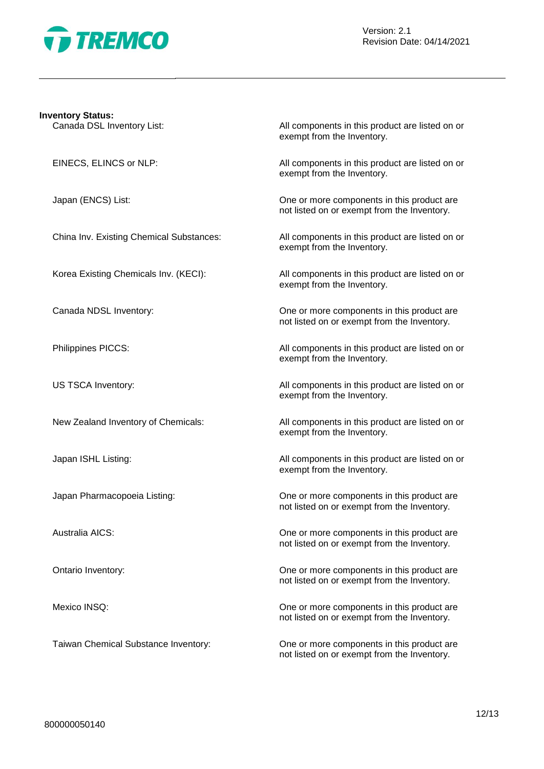

# **Inventory Status:** Canada DSL Inventory List: All components in this product are listed on or exempt from the Inventory. EINECS, ELINCS or NLP: All components in this product are listed on or exempt from the Inventory. Japan (ENCS) List: One or more components in this product are not listed on or exempt from the Inventory. China Inv. Existing Chemical Substances: All components in this product are listed on or exempt from the Inventory. Korea Existing Chemicals Inv. (KECI): All components in this product are listed on or exempt from the Inventory. Canada NDSL Inventory: One or more components in this product are not listed on or exempt from the Inventory. Philippines PICCS: All components in this product are listed on or exempt from the Inventory. US TSCA Inventory: All components in this product are listed on or exempt from the Inventory. New Zealand Inventory of Chemicals: All components in this product are listed on or exempt from the Inventory. Japan ISHL Listing: All components in this product are listed on or exempt from the Inventory. Japan Pharmacopoeia Listing: One or more components in this product are not listed on or exempt from the Inventory. Australia AICS: One or more components in this product are not listed on or exempt from the Inventory. Ontario Inventory: One or more components in this product are not listed on or exempt from the Inventory. Mexico INSQ: One or more components in this product are not listed on or exempt from the Inventory. Taiwan Chemical Substance Inventory: One or more components in this product are

not listed on or exempt from the Inventory.